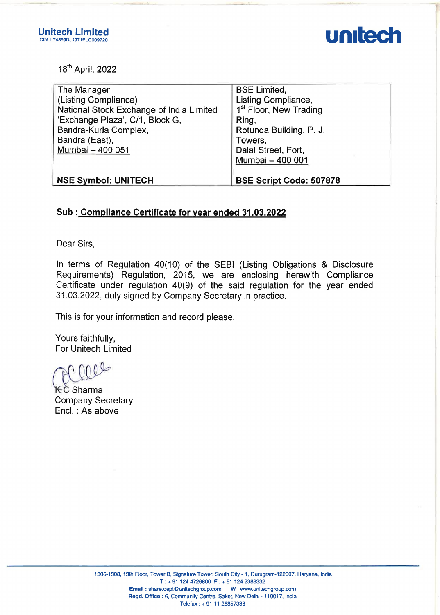

| tech Limited<br>74899DL1971PLC009720<br>18 <sup>th</sup> April, 2022                                                                                                              | united                                                                                                                                                                     |
|-----------------------------------------------------------------------------------------------------------------------------------------------------------------------------------|----------------------------------------------------------------------------------------------------------------------------------------------------------------------------|
| The Manager<br>(Listing Compliance)<br>National Stock Exchange of India Limited<br>'Exchange Plaza', C/1, Block G,<br>Bandra-Kurla Complex,<br>Bandra (East),<br>Mumbai - 400 051 | <b>BSE Limited,</b><br>Listing Compliance,<br>1 <sup>st</sup> Floor, New Trading<br>Ring,<br>Rotunda Building, P. J.<br>Towers,<br>Dalal Street, Fort,<br>Mumbai - 400 001 |
| <b>NSE Symbol: UNITECH</b>                                                                                                                                                        | <b>BSE Script Code: 507878</b>                                                                                                                                             |

## Sub : Compliance Certificate for year ended 31.03.2022

Dear Sirs,

In terms of Regulation 40(10) of the SEBI (Listing Obligations & Disclosure Requirements) Regulation, 2015, we are enclosing herewith Compliance Certificate under regulation 40(9) of the said regulation for the year ended 31.03.2022, duly signed by Company Secretary in practice. NSE Symbol: UNITECH<br>
Sub : Compliance Certificate for year<br>
Dear Sirs,<br>
In terms of Regulation 40(10) of the<br>
Requirements) Regulation, 2015, we<br>
Certificate under regulation 40(9) of the<br>
31.03.2022, duly signed by Compan

This is for your information and record please.

Yours faithfully, For Unitech Limited

 $10\%$ 

**K**C Sharma Company Secretary Encl. : As above